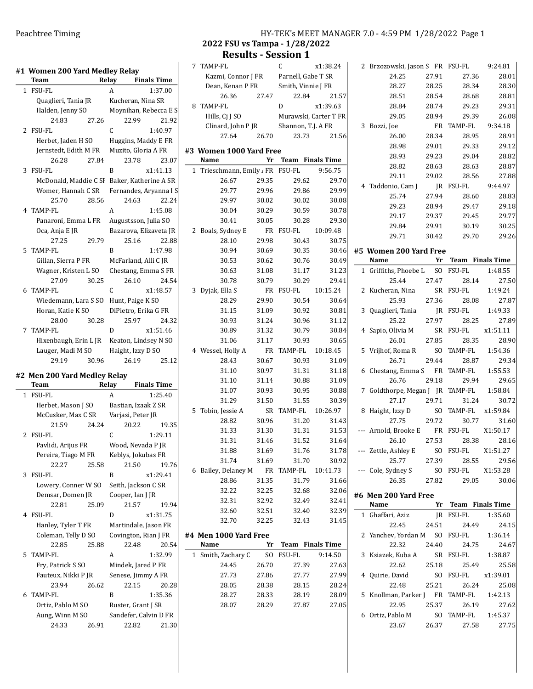|              | #1 Women 200 Yard Medley Relay<br><b>Team</b> |       | Relay                          | <b>Finals Time</b>                        |
|--------------|-----------------------------------------------|-------|--------------------------------|-------------------------------------------|
| 1            | <b>FSU-FL</b>                                 |       | А                              | 1:37.00                                   |
|              | Quaglieri, Tania JR                           |       | Kucheran, Nina SR              |                                           |
|              | Halden, Jenny SO                              |       | Moynihan, Rebecca E S          |                                           |
|              | 24.83                                         | 27.26 | 22.99                          | 21.92                                     |
| $\mathbf{2}$ | <b>FSU-FL</b>                                 |       | C                              | 1:40.97                                   |
|              | Herbet, Jaden H SO                            |       | Huggins, Maddy E FR            |                                           |
|              | Jernstedt, Edith M FR                         |       | Muzito, Gloria A FR            |                                           |
|              | 26.28                                         | 27.84 | 23.78                          | 23.07                                     |
| 3            | <b>FSU-FL</b>                                 |       | B                              | x1:41.13                                  |
|              |                                               |       |                                |                                           |
|              | McDonald, Maddie C SI                         |       | Baker, Katherine A SR          |                                           |
|              | Womer, Hannah C SR                            |       | Fernandes, Aryanna I S         |                                           |
|              | 25.70                                         | 28.56 | 24.63                          | 22.24                                     |
|              | 4 TAMP-FL                                     |       | A                              | 1:45.08                                   |
|              | Panaroni, Emma L FR                           |       | Augustsson, Julia SO           |                                           |
|              | Oca, Anja E JR                                |       | Bazarova, Elizaveta JR         |                                           |
|              | 27.25                                         | 29.79 | 25.16                          | 22.88                                     |
| 5            | <b>TAMP-FL</b>                                |       | B                              | 1:47.98                                   |
|              | Gillan, Sierra P FR                           |       | McFarland, Alli C JR           |                                           |
|              | Wagner, Kristen L SO                          |       | Chestang, Emma S FR            |                                           |
|              | 27.09                                         | 30.25 | 26.10                          | 24.54                                     |
| 6            | TAMP-FL                                       |       | C                              | x1:48.57                                  |
|              | Wiedemann, Lara S SO                          |       | Hunt, Paige K SO               |                                           |
|              | Horan, Katie K SO                             |       | DiPietro, Erika G FR           |                                           |
|              | 28.00                                         | 30.28 | 25.97                          | 24.32                                     |
|              |                                               |       |                                |                                           |
| 7            | <b>TAMP-FL</b>                                |       | D                              | x1:51.46                                  |
|              | Hixenbaugh, Erin L JR                         |       | Keaton, Lindsey N SO           |                                           |
|              | Lauger, Madi M SO                             |       | Haight, Izzy D SO              |                                           |
|              | 29.19                                         | 30.96 | 26.19                          | 25.12                                     |
|              | #2 Men 200 Yard Medley Relay<br>Team          |       | Relay                          | <b>Finals Time</b>                        |
| 1            |                                               |       |                                |                                           |
|              |                                               |       |                                |                                           |
|              | <b>FSU-FL</b>                                 |       | A                              | 1:25.40                                   |
|              | Herbet, Mason J SO                            |       | Bastian, Izaak Z SR            |                                           |
|              | McCusker, Max C SR                            |       | Varjasi, Peter JR              |                                           |
|              | 21.59                                         | 24.24 | 20.22                          |                                           |
| 2            | <b>FSU-FL</b>                                 |       | C                              | 1:29.11                                   |
|              | Pavlidi, Arijus FR                            |       | Wood, Nevada P JR              |                                           |
|              | Pereira, Tiago M FR                           |       | Keblys, Jokubas FR             |                                           |
|              | 22.27                                         | 25.58 | 21.50                          |                                           |
| 3            | FSU-FL                                        |       | B                              | x1:29.41                                  |
|              | Lowery, Conner W SO                           |       | Seith, Jackson C SR            |                                           |
|              |                                               |       |                                |                                           |
|              | Demsar, Domen JR                              |       | Cooper, Ian J JR               |                                           |
|              | 22.81                                         | 25.09 | 21.57                          |                                           |
| 4            | FSU-FL                                        |       | D                              | x1:31.75                                  |
|              | Hanley, Tyler T FR                            |       | Martindale, Jason FR           |                                           |
|              | Coleman, Telly D SO                           |       | Covington, Rian J FR           |                                           |
|              | 22.85                                         | 25.88 | 22.48                          |                                           |
| 5            | <b>TAMP-FL</b>                                |       | A                              | 1:32.99                                   |
|              | Fry, Patrick S SO                             |       | Mindek, Jared P FR             |                                           |
|              | Fauteux, Nikki P JR                           |       | Senese, Jimmy A FR             |                                           |
|              | 23.94                                         | 26.62 | 22.15                          |                                           |
| 6            | TAMP-FL                                       |       | B                              | 1:35.36                                   |
|              |                                               |       |                                |                                           |
|              | Ortiz, Pablo M SO                             |       | Ruster, Grant J SR             | 19.35<br>19.76<br>19.94<br>20.54<br>20.28 |
|              | Aung, Winn M SO<br>24.33                      | 26.91 | Sandefer, Calvin D FR<br>22.82 | 21.30                                     |

## 2022 FSU vs Tampa - 1/28/2022 Results - Session 1

| 7 | TAMP-FL                               |       | C                          | x1:38.24              |
|---|---------------------------------------|-------|----------------------------|-----------------------|
|   | Kazmi, Connor J FR Parnell, Gabe T SR |       |                            |                       |
|   | Dean, Kenan P FR                      |       | Smith, Vinnie J ${\sf FR}$ |                       |
|   | 26.36                                 | 27.47 | 22.84                      | 21.57                 |
| 8 | <b>TAMP-FL</b>                        |       | D                          | x1:39.63              |
|   | Hills, Ci J SO                        |       |                            | Murawski, Carter T FR |
|   | Clinard, John P JR                    |       |                            | Shannon, T.J. A FR    |
|   | 27.64                                 | 26.70 | 23.73                      | 21.56                 |
|   |                                       |       |                            |                       |
|   | #3 Women 1000 Yard Free               |       |                            |                       |
|   | Name                                  | Yr    |                            | Team Finals Time      |
| 1 | Trieschmann, Emily / FR FSU-FL        |       |                            | 9:56.75               |
|   | 26.67                                 | 29.35 | 29.62                      | 29.70                 |
|   | 29.77                                 | 29.96 | 29.86                      | 29.99                 |
|   | 29.97                                 | 30.02 | 30.02                      | 30.08                 |
|   | 30.04                                 | 30.29 | 30.59                      | 30.78                 |
|   | 30.41                                 | 30.05 | 30.28                      | 29.30                 |
| 2 | Boals, Sydney E                       |       | FR FSU-FL                  | 10:09.48              |
|   | 28.10                                 | 29.98 | 30.43                      | 30.75                 |
|   | 30.94                                 | 30.69 | 30.35                      | 30.46                 |
|   | 30.53                                 | 30.62 | 30.76                      | 30.49                 |
|   | 30.63                                 | 31.08 | 31.17                      | 31.23                 |
|   | 30.78                                 | 30.79 | 30.29                      | 29.41                 |
| 3 | Dyjak, Ella S                         |       | FR FSU-FL                  | 10:15.24              |
|   | 28.29                                 | 29.90 | 30.54                      | 30.64                 |
|   | 31.15                                 | 31.09 | 30.92                      | 30.81                 |
|   | 30.93                                 | 31.24 | 30.96                      | 31.12                 |
|   | 30.89                                 | 31.32 | 30.79                      | 30.84                 |
|   | 31.06                                 | 31.17 | 30.93                      | 30.65                 |
|   | 4 Wessel, Holly A                     | FR    | TAMP-FL                    | 10:18.45              |
|   | 28.43                                 | 30.67 | 30.93                      | 31.09                 |
|   | 31.10                                 | 30.97 | 31.31                      | 31.18                 |
|   | 31.10                                 | 31.14 | 30.88                      | 31.09                 |
|   | 31.07                                 | 30.93 | 30.95                      | 30.88                 |
|   | 31.29                                 | 31.50 | 31.55                      | 30.39                 |
| 5 | Tobin, Jessie A                       | SR    | TAMP-FL                    | 10:26.97              |
|   | 28.82                                 | 30.96 | 31.20                      | 31.43                 |
|   | 31.33                                 | 31.30 | 31.31                      | 31.53                 |
|   | 31.31                                 | 31.46 | 31.52                      | 31.64                 |
|   | 31.88                                 | 31.69 | 31.76                      | 31.78                 |
|   | 31.74                                 | 31.69 | 31.70                      | 30.92                 |
| 6 | Bailey, Delaney M                     |       | FR TAMP-FL                 | 10:41.73              |
|   | 28.86                                 | 31.35 | 31.79                      | 31.66                 |
|   | 32.22                                 | 32.25 | 32.68                      | 32.06                 |
|   | 32.31                                 | 32.92 | 32.49                      | 32.41                 |
|   | 32.60                                 | 32.51 | 32.40                      | 32.39                 |
|   | 32.70                                 | 32.25 | 32.43                      | 31.45                 |
|   |                                       |       |                            |                       |
|   | #4 Men 1000 Yard Free                 |       |                            |                       |
|   | Name                                  | Yr    |                            | Team Finals Time      |
|   | 1 Smith, Zachary C                    | SO    | FSU-FL                     | 9:14.50               |
|   | 24.45                                 | 26.70 | 27.39                      | 27.63                 |
|   | 27.73                                 | 27.86 | 27.77                      | 27.99                 |
|   | 28.05                                 | 28.38 | 28.15                      | 28.24                 |
|   | 28.27                                 | 28.33 | 28.19                      | 28.09                 |
|   | 28.07                                 | 28.29 | 27.87                      | 27.05                 |
|   |                                       |       |                            |                       |
|   |                                       |       |                            |                       |

|   | 2 Brzozowski, Jason S FR FSU-FL 9:24.81                        |       |                                                |                |
|---|----------------------------------------------------------------|-------|------------------------------------------------|----------------|
|   | 24.25                                                          | 27.91 | 27.36                                          | 28.01          |
|   | 28.27                                                          | 28.25 | 28.34                                          | 28.30          |
|   | 28.51                                                          | 28.54 | 28.68                                          | 28.81          |
|   | 28.84                                                          |       | 28.74 29.23                                    | 29.31          |
|   | 29.05 28.94                                                    |       | 29.39                                          | 26.08          |
|   | 3 Bozzi, Joe                                                   |       | FR TAMP-FL 9:34.18                             |                |
|   | 26.00                                                          |       | 28.34 28.95                                    | 28.91          |
|   | 28.98                                                          | 29.01 | 29.33                                          | 29.12          |
|   | 28.93                                                          | 29.23 | 29.04                                          | 28.82          |
|   | 28.82                                                          | 28.63 | 28.63                                          | 28.87          |
|   | 29.11                                                          | 29.02 | 28.56                                          | 27.88          |
|   |                                                                |       |                                                | 9:44.97        |
|   | 4 Taddonio, Cam J JR FSU-FL<br>25.74 27.94 28.60               |       |                                                | 28.83          |
|   |                                                                |       | 28.94 29.47                                    |                |
|   | 29.23                                                          |       | 29.17 29.37 29.45                              | 29.18<br>29.77 |
|   |                                                                |       |                                                |                |
|   | 29.84                                                          |       | 29.91 30.19 30.25                              |                |
|   |                                                                |       | 29.71 30.42 29.70 29.26                        |                |
|   | #5 Women 200 Yard Free                                         |       |                                                |                |
|   | Name                                                           |       | <u><b>Same School</b></u> Finals Time          |                |
|   | 1 Griffiths, Phoebe L SO FSU-FL 1:48.55                        |       |                                                |                |
|   | 25.44                                                          | 27.47 |                                                | 28.14 27.50    |
|   |                                                                |       | SR FSU-FL 1:49.24                              |                |
|   | 2 Kucheran, Nina SR FSU-FL<br>25.93 27.36 28.08                |       |                                                | 27.87          |
|   |                                                                |       |                                                |                |
|   | 3 Quaglieri, Tania JR FSU-FL 1:49.33<br>25.22 27.97 28.25 27.8 |       | 28.25                                          | 27.89          |
|   | 4 Sapio, Olivia M SR FSU-FL x1:51.11                           |       |                                                |                |
|   | 26.01                                                          | 27.85 | 28.35                                          | 28.90          |
| 5 | Vrijhof, Roma R SO TAMP-FL 1:54.36                             |       |                                                |                |
|   | 26.71                                                          | 29.44 | 28.87                                          | 29.34          |
| 6 | Chestang, Emma S FR TAMP-FL 1:55.53                            |       |                                                |                |
|   | 26.76                                                          | 29.18 | 29.94                                          | 29.65          |
|   |                                                                |       |                                                |                |
|   | 7 Goldthorpe, Megan J JR TAMP-FL 1:58.84                       |       | 31.24                                          | 30.72          |
|   | 27.17 29.71                                                    |       | SO TAMP-FL x1:59.84                            |                |
|   | 8 Haight, Izzy D                                               | 29.72 | 30.77                                          | 31.60          |
|   | 27.75<br>--- Arnold, Brooke E FR FSU-FL X1:50.17               |       |                                                |                |
|   |                                                                | 27.53 | 28.38                                          |                |
|   | 26.10                                                          |       |                                                | 28.16          |
|   | --- Zettle, Ashley E SO FSU-FL X1:51.27                        |       |                                                |                |
|   | 25.77                                                          | 27.39 | 28.55                                          | 29.56          |
|   | --- Cole, Sydney S                                             |       | SO FSU-FL X1:53.28                             |                |
|   | 26.35                                                          | 27.82 | 29.05                                          | 30.06          |
|   | #6 Men 200 Yard Free                                           |       |                                                |                |
|   | Name                                                           |       | <b>Example 1 Service 2 Yr</b> Team Finals Time |                |
|   | 1 Ghaffari, Aziz                                               |       | JR FSU-FL                                      | 1:35.60        |
|   | 22.45                                                          | 24.51 | 24.49                                          | 24.15          |
|   | 2 Yanchev, Yordan M SO FSU-FL                                  |       |                                                | 1:36.14        |
|   | 22.32                                                          | 24.40 | 24.75                                          | 24.67          |
| 3 | Ksiazek, Kuba A SR FSU-FL 1:38.87                              |       |                                                |                |
|   | 22.62                                                          | 25.18 | 25.49                                          | 25.58          |
| 4 | Quirie, David SO FSU-FL x1:39.01                               |       |                                                |                |
|   | 22.48                                                          | 25.21 | 26.24                                          | 25.08          |
| 5 | Knollman, Parker J FR TAMP-FL                                  |       |                                                | 1:42.13        |
|   | 22.95                                                          | 25.37 | 26.19                                          | 27.62          |
| 6 | Ortiz, Pablo M                                                 |       | SO TAMP-FL 1:45.37                             |                |
|   | 23.67 26.37                                                    |       | 27.58                                          | 27.75          |
|   |                                                                |       |                                                |                |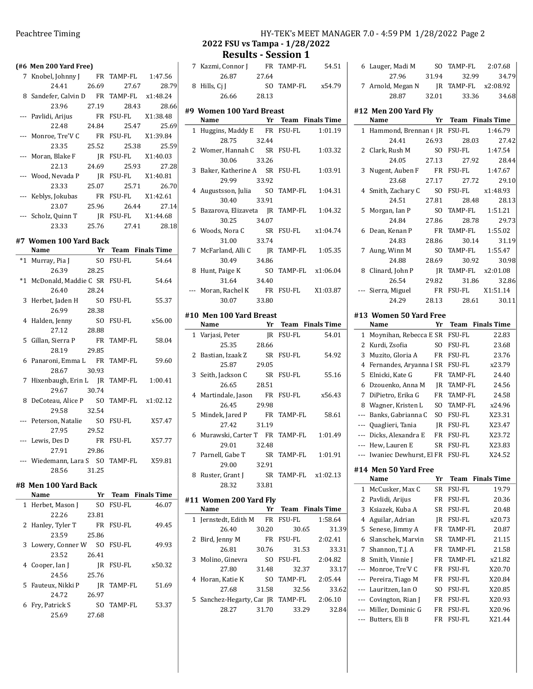|      | (#6 Men 200 Yard Free)                   |       |                                       |        |
|------|------------------------------------------|-------|---------------------------------------|--------|
|      | 7 Knobel, Johnny J                       |       | FR TAMP-FL 1:47.56                    |        |
|      | 24.41                                    | 26.69 | 27.67                                 | 28.79  |
|      | 8 Sandefer, Calvin D FR TAMP-FL x1:48.24 |       |                                       |        |
|      | 23.96                                    | 27.19 | 28.43                                 | 28.66  |
|      | --- Pavlidi, Arijus                      |       | FR FSU-FL X1:38.48                    |        |
|      | 22.48                                    | 24.84 | 25.47                                 | 25.69  |
|      | --- Monroe, Tre'V C                      |       | FR FSU-FL X1:39.84                    |        |
|      | 23.35                                    | 25.52 | 25.38                                 | 25.59  |
|      | --- Moran, Blake F                       |       | JR FSU-FL X1:40.03                    |        |
|      | 22.13                                    | 24.69 | 25.93                                 | 27.28  |
|      | --- Wood, Nevada P                       |       | JR FSU-FL X1:40.81                    |        |
|      | 23.33                                    | 25.07 | 25.71                                 | 26.70  |
|      | --- Keblys, Jokubas                      |       | FR FSU-FL X1:42.61                    |        |
|      | 23.07                                    | 25.96 | 26.44                                 | 27.14  |
|      | Scholz, Quinn T                          |       | JR FSU-FL X1:44.68                    |        |
|      | 23.33                                    | 25.76 | 27.41                                 | 28.18  |
|      | #7 Women 100 Yard Back                   |       |                                       |        |
|      | Name                                     |       | <b>Example 15 Yr Team Finals Time</b> |        |
| *1   | Murray, Pia J                            |       | SO FSU-FL                             | 54.64  |
|      | 26.39                                    | 28.25 |                                       |        |
| $*1$ | McDonald, Maddie C SR FSU-FL             |       |                                       | 54.64  |
|      | 26.40                                    | 28.24 |                                       |        |
| 3    | Herbet, Jaden H SO FSU-FL                |       |                                       | 55.37  |
|      | 26.99                                    | 28.38 |                                       |        |
|      | 4 Halden, Jenny                          |       | SO FSU-FL                             | x56.00 |
|      | 27.12                                    | 28.88 |                                       |        |
| 5    | Gillan, Sierra P FR TAMP-FL              |       |                                       | 58.04  |
|      | 28.19                                    | 29.85 |                                       |        |
|      | 6 Panaroni, Emma L FR TAMP-FL            |       |                                       | 59.60  |
|      | 28.67                                    | 30.93 |                                       |        |
| 7    | Hixenbaugh, Erin L JR TAMP-FL 1:00.41    |       |                                       |        |
|      | 29.67 30.74                              |       |                                       |        |
|      | 8 DeCoteau, Alice P SO TAMP-FL x1:02.12  |       |                                       |        |
|      | 29.58 32.54                              |       |                                       |        |
|      | Peterson, Natalie SO FSU-FL              |       |                                       | X57.47 |
|      | 27.95                                    | 29.52 |                                       |        |
|      | Lewis, Des D                             |       | FR FSU-FL                             | X57.77 |
|      | 27.91                                    | 29.86 |                                       |        |
|      | --- Wiedemann, Lara S SO<br>28.56        | 31.25 | TAMP-FL                               | X59.81 |
|      |                                          |       |                                       |        |
|      | #8  Men 100 Yard Back                    |       |                                       |        |
|      | Name                                     | Yr    | <b>Team</b> Finals Time               |        |
| 1    | Herbet, Mason J                          | SO    | <b>FSU-FL</b>                         | 46.07  |
|      | 22.26                                    | 23.81 |                                       |        |

| 22.26              | 23.81 |            |        |
|--------------------|-------|------------|--------|
| 2 Hanley, Tyler T  |       | FR FSU-FL  | 49.45  |
| 23.59              | 25.86 |            |        |
| 3 Lowery, Conner W |       | SO FSU-FL  | 49.93  |
| 23.52              | 26.41 |            |        |
| 4 Cooper, Ian J    |       | IR FSU-FL  | x50.32 |
| 24.56              | 25.76 |            |        |
| 5 Fauteux, Nikki P |       | IR TAMP-FL | 51.69  |
| 24.72              | 26.97 |            |        |
| 6 Fry, Patrick S   | SO.   | TAMP-FL    | 53.37  |
| 25.69              | 27.68 |            |        |

## Peachtree Timing Theorem 2012 12:59 PM 1/28/2022 Page 2 2022 FSU vs Tampa - 1/28/2022

Results - Session 1

| 7 Kazmi, Connor J |       | FR TAMP-FL | 54.51  |
|-------------------|-------|------------|--------|
| 26.87             | 27.64 |            |        |
| 8 Hills, Cj J     |       | SO TAMP-FL | x54.79 |
| 26.66             | 28.13 |            |        |

#9 Women 100 Yard Breast

| Name                                     |       | Yr Team Finals Time |
|------------------------------------------|-------|---------------------|
| 1 Huggins, Maddy E FR FSU-FL 1:01.19     |       |                     |
| 28.75                                    | 32.44 |                     |
| 2 Womer, Hannah C SR FSU-FL              |       | 1:03.32             |
| 30.06                                    | 33.26 |                     |
| 3 Baker, Katherine A SR FSU-FL 1:03.91   |       |                     |
| 29.99 33.92                              |       |                     |
| 4 Augustsson, Julia SO TAMP-FL 1:04.31   |       |                     |
| 30.40 33.91                              |       |                     |
| 5 Bazarova, Elizaveta JR TAMP-FL 1:04.32 |       |                     |
| 30.25                                    | 34.07 |                     |
| 6 Woods, Nora C                          |       | SR FSU-FL x1:04.74  |
| 31.00                                    | 33.74 |                     |
| 7 McFarland, Alli C                      |       | IR TAMP-FL 1:05.35  |
| 30.49                                    | 34.86 |                     |
| 8 Hunt, Paige K                          |       | SO TAMP-FL x1:06.04 |
| 31.64                                    | 34.40 |                     |
| --- Moran, Rachel K FR FSU-FL X1:03.87   |       |                     |
| 30.07                                    | 33.80 |                     |

## #10 Men 100 Yard Breast

|   | Name                            | Yr    |            | <b>Team</b> Finals Time |
|---|---------------------------------|-------|------------|-------------------------|
|   | 1 Varjasi, Peter                | IR    | FSU-FL     | 54.01                   |
|   | 25.35                           | 28.66 |            |                         |
|   | 2 Bastian, Izaak Z              |       | SR FSU-FL  | 54.92                   |
|   | 25.87                           | 29.05 |            |                         |
| 3 | Seith, Jackson C                | SR    | FSU-FL     | 55.16                   |
|   | 26.65                           | 28.51 |            |                         |
|   | 4 Martindale, Jason             |       | FR FSU-FL  | x56.43                  |
|   | 26.45                           | 29.98 |            |                         |
|   | 5 Mindek, Jared P               |       | FR TAMP-FL | 58.61                   |
|   | 27.42                           | 31.19 |            |                         |
|   | 6 Murawski, Carter T FR TAMP-FL |       |            | 1:01.49                 |
|   | 29.01                           | 32.48 |            |                         |
|   | 7 Parnell, Gabe T               |       | SR TAMP-FL | 1:01.91                 |
|   | 29.00                           | 32.91 |            |                         |
| 8 | Ruster, Grant J                 |       |            | SR TAMP-FL x1:02.13     |
|   | 28.32                           | 33.81 |            |                         |
|   |                                 |       |            |                         |

### #11 Women 200 Yard Fly

|   | Name                              | Yr    | <b>Team</b> Finals Time |         |
|---|-----------------------------------|-------|-------------------------|---------|
|   | 1 Jernstedt, Edith M              | FR    | <b>FSU-FL</b>           | 1:58.64 |
|   | 26.40                             | 30.20 | 30.65                   | 31.39   |
|   | 2 Bird, Jenny M                   | FR    | FSU-FL                  | 2:02.41 |
|   | 26.81                             | 30.76 | 31.53                   | 33.31   |
| 3 | Molino, Ginevra                   | SΟ    | <b>FSU-FL</b>           | 2:04.82 |
|   | 27.80                             | 31.48 | 32.37                   | 33.17   |
|   | 4 Horan, Katie K                  | SΟ    | TAMP-FL                 | 2:05.44 |
|   | 27.68                             | 31.58 | 32.56                   | 33.62   |
|   | 5 Sanchez-Hegarty, Car JR TAMP-FL |       |                         | 2:06.10 |
|   | 28.27                             | 31.70 | 33.29                   | 32.84   |

|              | 6 Lauger, Madi M                            | SO.            | TAMP-FL                 | 2:07.68            |
|--------------|---------------------------------------------|----------------|-------------------------|--------------------|
|              | 27.96                                       | 31.94          | 32.99                   | 34.79              |
|              | 7 Arnold, Megan N                           | JR             | <b>TAMP-FL</b>          | x2:08.92           |
|              | 28.87                                       | 32.01          | 33.36                   | 34.68              |
|              |                                             |                |                         |                    |
|              | #12 Men 200 Yard Fly                        |                |                         |                    |
|              | Name                                        | Yr             | <b>Team</b> Finals Time |                    |
| 1            | Hammond, Brennan (JR                        |                | FSU-FL                  | 1:46.79            |
|              | 24.41                                       | 26.93          | 28.03                   | 27.42              |
| 2            | Clark, Rush M                               | S <sub>O</sub> | FSU-FL                  | 1:47.54            |
|              | 24.05                                       | 27.13          | 27.92                   | 28.44              |
| 3            | Nugent, Auben F                             | <b>FR</b>      | <b>FSU-FL</b>           | 1:47.67            |
|              | 23.68                                       | 27.17          | 27.72                   | 29.10              |
| 4            | Smith, Zachary C                            | SO.            | FSU-FL                  | x1:48.93           |
|              | 24.51                                       | 27.81          | 28.48                   | 28.13              |
| 5            | Morgan, Ian P                               | S <sub>O</sub> | TAMP-FL                 | 1:51.21            |
|              | 24.84                                       | 27.86          | 28.78                   | 29.73              |
| 6            | Dean, Kenan P                               | FR             | TAMP-FL                 | 1:55.02            |
|              | 24.83                                       | 28.86          | 30.14                   | 31.19              |
| 7            | Aung, Winn M                                | SO.            | TAMP-FL                 | 1:55.47            |
|              | 24.88                                       | 28.69          | 30.92                   | 30.98              |
| 8            | Clinard, John P                             | JR             | TAMP-FL                 | x2:01.08           |
|              | 26.54                                       | 29.82          | 31.86                   | 32.86              |
|              | Sierra, Miguel                              | FR             | FSU-FL                  | X1:51.14           |
|              | 24.29                                       | 28.13          | 28.61                   | 30.11              |
|              | #13 Women 50 Yard Free                      |                |                         |                    |
|              | Name                                        | Yr             | Team                    | <b>Finals Time</b> |
| $\mathbf{1}$ | Moynihan, Rebecca E SR FSU-FL               |                |                         | 22.83              |
| 2            | Kurdi, Zsofia                               | S <sub>O</sub> | FSU-FL                  | 23.68              |
| 3            | Muzito, Gloria A                            |                | FR FSU-FL               | 23.76              |
| 4            | Fernandes, Aryanna I SR FSU-FL              |                |                         | x23.79             |
| 5            | Elnicki, Kate G                             |                | FR TAMP-FL              | 24.40              |
| 6            | Dzouenko, Anna M                            |                | JR TAMP-FL              | 24.56              |
| 7            | DiPietro, Erika G                           |                | FR TAMP-FL              | 24.58              |
| 8            |                                             |                | SO TAMP-FL              | x24.96             |
|              | Wagner, Kristen L<br>--- Banks, Gabrianna C |                | SO FSU-FL               | X23.31             |
|              | --- Quaglieri, Tania                        |                | IR FSU-FL               | X23.47             |
| ---          | Dicks, Alexandra E                          |                | FR FSU-FL               | X23.72             |
| ---          |                                             | <b>SR</b>      | FSU-FL                  | X23.83             |
|              | Hew, Lauren E<br>Iwaniec Dewhurst, El FR    |                | FSU-FL                  | X24.52             |
|              |                                             |                |                         |                    |
|              | #14  Men 50 Yard Free                       |                |                         |                    |
|              | Name                                        | Yr             | Team                    | <b>Finals Time</b> |
| 1            | McCusker, Max C                             | SR             | FSU-FL                  | 19.79              |
| 2            | Pavlidi, Arijus                             | FR             | FSU-FL                  | 20.36              |
| 3            | Ksiazek, Kuba A                             | SR             | FSU-FL                  | 20.48              |
| 4            | Aguilar, Adrian                             | JR             | <b>FSU-FL</b>           | x20.73             |
| 5            | Senese, Jimmy A                             | FR             | TAMP-FL                 | 20.87              |
| 6            | Slanschek, Marvin                           | SR             | TAMP-FL                 | 21.15              |
| 7            | Shannon, T.J. A                             | FR             | TAMP-FL                 | 21.58              |
| 8            | Smith, Vinnie J                             | FR             | TAMP-FL                 | x21.82             |
| ---          | Monroe, Tre'V C                             | FR             | FSU-FL                  | X20.70             |
| ---          | Pereira, Tiago M                            | FR             | FSU-FL                  | X20.84             |
| ---          | Lauritzen, Ian O                            | SO             | FSU-FL                  | X20.85             |
| ---          | Covington, Rian J                           | FR             | FSU-FL                  | X20.93             |

--- Miller, Dominic G FR FSU-FL X20.96 --- Butters, Eli B FR FSU-FL X21.44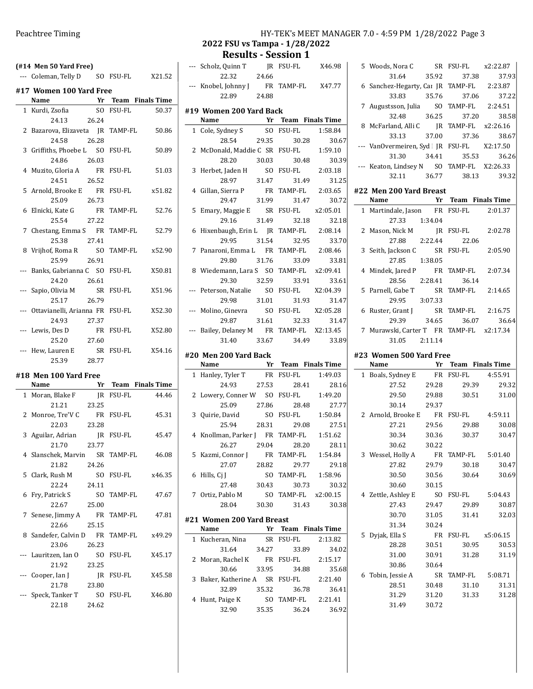| $($ #14 Men 50 Yard Free $)$                  |           |        |
|-----------------------------------------------|-----------|--------|
| --- Coleman, Telly D SO FSU-FL X21.52         |           |        |
| #17 Women 100 Yard Free                       |           |        |
| <b>Example 12 Yr Team Finals Time</b><br>Name |           |        |
| 1 Kurdi, Zsofia                               | SO FSU-FL | 50.37  |
| 24.13 26.24                                   |           |        |
| 2 Bazarova, Elizaveta JR TAMP-FL              |           | 50.86  |
| 26.28<br>24.58                                |           |        |
| 3 Griffiths, Phoebe L SO FSU-FL               |           | 50.89  |
| 24.86 26.03                                   |           |        |
| 4 Muzito, Gloria A FR FSU-FL                  |           | 51.03  |
| 24.51 26.52                                   |           |        |
| 5 Arnold, Brooke E FR FSU-FL                  |           | x51.82 |
| 25.09 26.73                                   |           |        |
| 6 Elnicki, Kate G FR TAMP-FL 52.76            |           |        |
| 25.54 27.22                                   |           |        |
| 7 Chestang, Emma S FR TAMP-FL                 |           | 52.79  |
| 25.38 27.41                                   |           |        |
| 8 Vrijhof, Roma R SO TAMP-FL x52.90           |           |        |
| 25.99 26.91                                   |           |        |
| --- Banks, Gabrianna C SO FSU-FL              |           | X50.81 |
| 24.20 26.61                                   |           |        |
| --- Sapio, Olivia M SR FSU-FL                 |           | X51.96 |
| 25.17 26.79                                   |           |        |
| --- Ottavianelli, Arianna FR FSU-FL           |           | X52.30 |
| 24.93<br>27.37                                |           |        |
| --- Lewis, Des D FR FSU-FL<br>25.20 27.60     |           | X52.80 |
| Hew, Lauren E SR FSU-FL                       |           | X54.16 |
| 25.39 28.77                                   |           |        |
|                                               |           |        |
| #18 Men 100 Yard Free                         |           |        |

| $\pi$ 10 MEII 100 IAIU FIEE |                                |       |            |                     |
|-----------------------------|--------------------------------|-------|------------|---------------------|
|                             | Name                           |       |            | Yr Team Finals Time |
|                             | 1 Moran, Blake F               |       | IR FSU-FL  | 44.46               |
|                             | 21.21                          | 23.25 |            |                     |
|                             | 2 Monroe, Tre'V C              |       | FR FSU-FL  | 45.31               |
|                             | 22.03                          | 23.28 |            |                     |
|                             | 3 Aguilar, Adrian JR FSU-FL    |       |            | 45.47               |
|                             | 21.70                          | 23.77 |            |                     |
|                             | 4 Slanschek, Marvin SR TAMP-FL |       |            | 46.08               |
|                             | 21.82                          | 24.26 |            |                     |
|                             | 5   Clark, Rush M              |       | SO FSU-FL  | x46.35              |
|                             | 22.24                          | 24.11 |            |                     |
|                             | 6 Fry, Patrick S SO TAMP-FL    |       |            | 47.67               |
|                             | 22.67                          | 25.00 |            |                     |
|                             | 7 Senese, Jimmy A FR TAMP-FL   |       |            | 47.81               |
|                             | 22.66                          | 25.15 |            |                     |
|                             | 8 Sandefer, Calvin D           |       | FR TAMP-FL | x49.29              |
|                             | 23.06                          | 26.23 |            |                     |
|                             | --- Lauritzen, Ian O           | SO.   | FSU-FL     | X45.17              |
|                             | 21.92                          | 23.25 |            |                     |
|                             | --- Cooper, Ian J              |       | JR FSU-FL  | X45.58              |
|                             | 21.78                          | 23.80 |            |                     |
|                             | --- Speck, Tanker T            | SO.   | FSU-FL     | X46.80              |
|                             | 22.18                          | 24.62 |            |                     |
|                             |                                |       |            |                     |

| HY-TEK's MEET MANAGER 7.0 - 4:59 PM 1/28/2022 Page 3 |  |  |
|------------------------------------------------------|--|--|
| 2 FSU vs Tampa - 1/28/2022                           |  |  |

| 2022 FSU vs Tampa - 1/28/2022             |  |                            |                         |
|-------------------------------------------|--|----------------------------|-------------------------|
|                                           |  | <b>Results - Session 1</b> |                         |
| --- Scholz, Quinn T JR FSU-FL X46.98      |  |                            |                         |
| 22.32 24.66                               |  |                            |                         |
| --- Knobel, Johnny J FR TAMP-FL X47.77    |  |                            |                         |
| 22.89 24.88                               |  |                            |                         |
| #19 Women 200 Yard Back                   |  |                            |                         |
| Name Yr Team Finals Time                  |  |                            |                         |
| 1 Cole, Sydney S SO FSU-FL 1:58.84        |  |                            |                         |
|                                           |  |                            | 28.54 29.35 30.28 30.67 |
| 2 McDonald, Maddie C SR FSU-FL 1:59.10    |  |                            |                         |
|                                           |  |                            | 28.20 30.03 30.48 30.39 |
| 3 Herbet, Jaden H SO FSU-FL 2:03.18       |  |                            |                         |
| 28.97 31.47 31.49 31.25                   |  |                            |                         |
| 4 Gillan, Sierra P FR TAMP-FL 2:03.65     |  |                            |                         |
| 29.47 31.99 31.47 30.72                   |  |                            |                         |
| 5 Emary, Maggie E SR FSU-FL x2:05.01      |  |                            |                         |
| 29.16 31.49 32.18                         |  |                            | 32.18                   |
| 6 Hixenbaugh, Erin L JR TAMP-FL 2:08.14   |  |                            |                         |
|                                           |  |                            | 29.95 31.54 32.95 33.70 |
| 7 Panaroni, Emma L FR TAMP-FL 2:08.46     |  |                            |                         |
| 29.80 31.76 33.09                         |  |                            | 33.81                   |
| 8 Wiedemann, Lara S SO TAMP-FL x2:09.41   |  |                            |                         |
|                                           |  |                            | 29.30 32.59 33.91 33.61 |
| --- Peterson, Natalie SO FSU-FL X2:04.39  |  |                            |                         |
|                                           |  |                            | 29.98 31.01 31.93 31.47 |
| --- Molino, Ginevra SO FSU-FL X2:05.28    |  |                            |                         |
| 29.87 31.61 32.33                         |  |                            | 31.47                   |
| --- Bailey, Delaney M FR TAMP-FL X2:13.45 |  |                            |                         |
| 31.40 33.67 34.49 33.89                   |  |                            |                         |
| #20 Men 200 Yard Back                     |  |                            |                         |
|                                           |  | .                          |                         |

|   | Name                            | Yr    |            | <b>Team</b> Finals Time |
|---|---------------------------------|-------|------------|-------------------------|
|   | 1 Hanley, Tyler T               |       | FR FSU-FL  | 1:49.03                 |
|   | 24.93                           | 27.53 | 28.41      | 28.16                   |
|   | 2 Lowery, Conner W              |       |            | SO FSU-FL 1:49.20       |
|   | 25.09                           | 27.86 | 28.48      | 27.77                   |
|   | 3 Quirie, David                 |       | SO FSU-FL  | 1:50.84                 |
|   | 25.94                           | 28.31 | 29.08      | 27.51                   |
|   | 4 Knollman, Parker J FR TAMP-FL |       |            | 1:51.62                 |
|   | 26.27                           | 29.04 | 28.20      | 28.11                   |
|   | 5 Kazmi, Connor J               |       | FR TAMP-FL | 1:54.84                 |
|   | 27.07                           | 28.82 | 29.77      | 29.18                   |
|   | 6 Hills, Ci I                   | SO.   | TAMP-FL    | 1:58.96                 |
|   | 27.48                           | 30.43 |            | 30.32<br>30.73          |
| 7 | Ortiz, Pablo M                  | SO.   | TAMP-FL    | x2:00.15                |
|   | 28.04                           | 30.30 |            | 31.43 30.38             |

| #21 Women 200 Yard Breast      |       |               |                         |
|--------------------------------|-------|---------------|-------------------------|
| Name                           | Yr    |               | <b>Team</b> Finals Time |
| 1 Kucheran, Nina               | SR.   | <b>FSU-FL</b> | 2:13.82                 |
| 31.64                          | 34.27 | 33.89         | 34.02                   |
| 2 Moran, Rachel K              | FR    | FSU-FL        | 2:15.17                 |
| 30.66                          | 33.95 | 34.88         | 35.68                   |
| 3 Baker, Katherine A SR FSU-FL |       |               | 2:21.40                 |
| 32.89                          | 35.32 | 36.78         | 36.41                   |
| 4 Hunt, Paige K                | SΟ    | TAMP-FL       | 2:21.41                 |
| 32.90                          | 35.35 | 36.24         | 36.92                   |

| 5 Woods, Nora C                           | SR    | FSU-FL           | x2:22.87 |
|-------------------------------------------|-------|------------------|----------|
| 31.64                                     | 35.92 | 37.38            | 37.93    |
| 6 Sanchez-Hegarty, Car JR TAMP-FL         |       |                  | 2:23.87  |
| 33.83                                     | 35.76 | 37.06            | 37.22    |
| 7 Augustsson, Julia SO TAMP-FL 2:24.51    |       |                  |          |
| 32.48 36.25                               |       | 37.20            | 38.58    |
| 8 McFarland, Alli C JR                    |       | TAMP-FL x2:26.16 |          |
| 33.13                                     |       | 37.00 37.36      | 38.67    |
| --- VanOvermeiren, Syd JR FSU-FL X2:17.50 |       |                  |          |
| 31.30                                     | 34.41 | 35.53            | 36.26    |
| --- Keaton, Lindsey N SO TAMP-FL X2:26.33 |       |                  |          |
| 32.11                                     |       | 36.77 38.13      | 39.32    |
|                                           |       |                  |          |

#### #22 Men 200 Yard Breast

| Name                            |         |       | Yr Team Finals Time |          |
|---------------------------------|---------|-------|---------------------|----------|
| 1 Martindale, Jason             |         |       | FR FSU-FL           | 2:01.37  |
| 27.33                           | 1:34.04 |       |                     |          |
| 2 Mason, Nick M                 |         |       | IR FSU-FL           | 2:02.78  |
| 27.88 2:22.44                   |         |       | 22.06               |          |
| 3 Seith, Jackson C              |         |       | SR FSU-FL           | 2:05.90  |
| 27.85                           | 1:38.05 |       |                     |          |
| 4 Mindek, Jared P               |         |       | FR TAMP-FL          | 2:07.34  |
| 28.56                           |         |       | 2:28.41<br>36.14    |          |
| 5 Parnell, Gabe T               |         |       | SR TAMP-FL          | 2:14.65  |
| 29.95 3:07.33                   |         |       |                     |          |
| 6 Ruster, Grant J SR TAMP-FL    |         |       |                     | 2:16.75  |
| 29.39                           |         | 34.65 | 36.07               | 36.64    |
| 7 Murawski, Carter T FR TAMP-FL |         |       |                     | x2:17.34 |
| 31.05                           | 2:11.14 |       |                     |          |

### #23 Women 500 Yard Free

| Name               |           |                                                                         |                                                                                                                                                                                                      |
|--------------------|-----------|-------------------------------------------------------------------------|------------------------------------------------------------------------------------------------------------------------------------------------------------------------------------------------------|
| 1 Boals, Sydney E  |           | <b>FSU-FL</b>                                                           | 4:55.91                                                                                                                                                                                              |
| 27.52              | 29.28     |                                                                         | 29.32                                                                                                                                                                                                |
| 29.50              |           |                                                                         | 31.00                                                                                                                                                                                                |
| 30.14              |           |                                                                         |                                                                                                                                                                                                      |
|                    | <b>FR</b> |                                                                         | 4:59.11                                                                                                                                                                                              |
| 27.21              | 29.56     |                                                                         | 30.08                                                                                                                                                                                                |
| 30.34              | 30.36     |                                                                         | 30.47                                                                                                                                                                                                |
| 30.62              | 30.22     |                                                                         |                                                                                                                                                                                                      |
| 3 Wessel, Holly A  |           |                                                                         | 5:01.40                                                                                                                                                                                              |
| 27.82              |           |                                                                         | 30.47                                                                                                                                                                                                |
| 30.50              |           |                                                                         | 30.69                                                                                                                                                                                                |
| 30.60              | 30.15     |                                                                         |                                                                                                                                                                                                      |
| 4 Zettle, Ashley E | SO.       |                                                                         | 5:04.43                                                                                                                                                                                              |
| 27.43              | 29.47     |                                                                         | 30.87                                                                                                                                                                                                |
| 30.70              |           |                                                                         | 32.03                                                                                                                                                                                                |
| 31.34              | 30.24     |                                                                         |                                                                                                                                                                                                      |
| Dyjak, Ella S      | <b>FR</b> |                                                                         | FSU-FL x5:06.15                                                                                                                                                                                      |
| 28.28              | 30.51     |                                                                         | 30.53                                                                                                                                                                                                |
| 31.00              | 30.91     |                                                                         | 31.19                                                                                                                                                                                                |
| 30.86              | 30.64     |                                                                         |                                                                                                                                                                                                      |
| 6 Tobin, Jessie A  | <b>SR</b> |                                                                         | 5:08.71                                                                                                                                                                                              |
| 28.51              | 30.48     |                                                                         | 31.31                                                                                                                                                                                                |
| 31.29              |           |                                                                         | 31.28                                                                                                                                                                                                |
| 31.49              | 30.72     |                                                                         |                                                                                                                                                                                                      |
|                    |           | <b>FR</b><br>29.37<br>2 Arnold, Brooke E<br><b>FR</b><br>29.79<br>31.20 | Yr Team Finals Time<br>29.39<br>29.88<br>30.51<br>FSU-FL<br>29.88<br>30.37<br>TAMP-FL<br>30.18<br>30.64<br>30.56<br>FSU-FL<br>29.89<br>31.05<br>31.41<br>30.95<br>31.28<br>TAMP-FL<br>31.10<br>31.33 |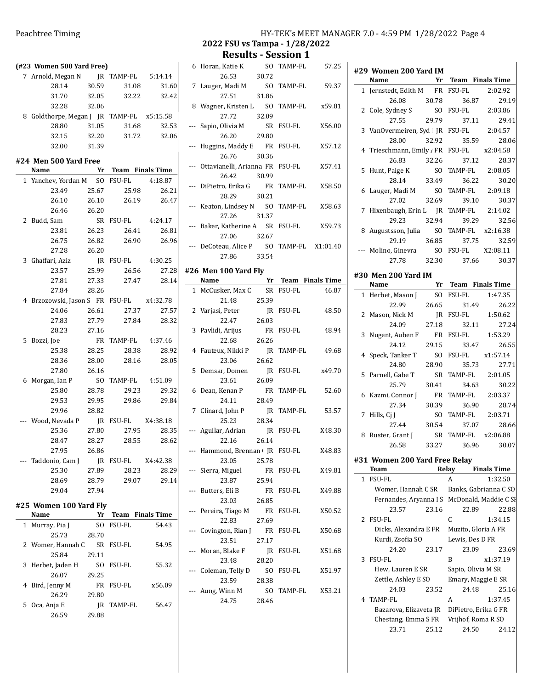| (#23 Women 500 Yard Free)                 |       |             |                      |       |
|-------------------------------------------|-------|-------------|----------------------|-------|
| 7 Arnold, Megan N JR TAMP-FL 5:14.14      |       |             |                      |       |
| 28.14 30.59                               |       |             | 31.08 31.60          |       |
| 31.70 32.05 32.22 32.42                   |       |             |                      |       |
| 32.28 32.06                               |       |             |                      |       |
| 8 Goldthorpe, Megan J JR TAMP-FL x5:15.58 |       |             |                      |       |
| 28.80                                     | 31.05 |             | 31.68 32.53          |       |
| 32.15                                     | 32.20 |             | 31.72 32.06          |       |
| 32.00                                     | 31.39 |             |                      |       |
| #24 Men 500 Yard Free                     |       |             |                      |       |
| Name                                      |       |             | Yr Team Finals Time  |       |
| 1 Yanchev, Yordan M SO FSU-FL 4:18.87     |       |             |                      |       |
| 23.49                                     |       | 25.67 25.98 |                      | 26.21 |
| 26.10 26.10 26.19 26.47                   |       |             |                      |       |
| 26.46 26.20                               |       |             |                      |       |
| 2 Budd, Sam                               |       |             | SR FSU-FL 4:24.17    |       |
| 23.81 26.23                               |       |             | 26.41 26.81          |       |
| 26.75                                     |       |             | 26.82 26.90 26.96    |       |
| 27.28 26.20                               |       |             |                      |       |
| 3 Ghaffari, Aziz                          |       |             | JR FSU-FL 4:30.25    |       |
| 23.57                                     | 25.99 |             | 26.56                | 27.28 |
| 27.81                                     |       |             | 27.33 27.47 28.14    |       |
| 27.84                                     | 28.26 |             |                      |       |
| 4 Brzozowski, Jason S FR FSU-FL x4:32.78  |       |             |                      |       |
| 24.06 26.61 27.37 27.57                   |       |             |                      |       |
| 27.83 27.79 27.84 28.32                   |       |             |                      |       |
| 28.23 27.16                               |       |             |                      |       |
| 5 Bozzi, Joe                              |       |             | FR TAMP-FL 4:37.46   |       |
| 25.38                                     |       | 28.25 28.38 |                      | 28.92 |
| 28.36 28.00                               |       |             | 28.16                | 28.05 |
| 27.80                                     | 26.16 |             |                      |       |
| 6 Morgan, Ian P                           |       |             | SO TAMP-FL $4:51.09$ |       |
| 25.80                                     | 28.78 | 29.23       |                      | 29.32 |
| 29.53                                     | 29.95 |             | 29.86                | 29.84 |
| 29.96 28.82                               |       |             |                      |       |
| --- Wood, Nevada P JR FSU-FL X4:38.18     |       |             |                      |       |
| 25.36                                     | 27.80 |             | 27.95 28.35          |       |
| 28.47 28.27 28.55 28.62                   |       |             |                      |       |
| 27.95                                     | 26.86 |             |                      |       |
| Taddonio, Cam J                           | JR    | FSU-FL      | X4:42.38             |       |
| 25.30                                     | 27.89 | 28.23       |                      | 28.29 |
| 28.69                                     | 28.79 | 29.07       |                      | 29.14 |
| 29.04                                     | 27.94 |             |                      |       |
| #25 Women 100 Yard Fly                    |       |             |                      |       |
| Name                                      | Yr    | Team        | <b>Finals Time</b>   |       |
| 1 Murray, Pia J                           | SO.   | FSU-FL      | 54.43                |       |
| 25.72                                     | 20.70 |             |                      |       |

| 1 Murray, Pia J   | SΟ    | FSU-FL        | 54.43  |
|-------------------|-------|---------------|--------|
| 25.73             | 28.70 |               |        |
| 2 Womer, Hannah C | SR –  | <b>FSU-FL</b> | 54.95  |
| 25.84             | 29.11 |               |        |
| 3 Herbet, Jaden H | SΩ    | <b>FSU-FL</b> | 55.32  |
| 26.07             | 29.25 |               |        |
| 4 Bird, Jenny M   | FR    | <b>FSU-FL</b> | x56.09 |
| 26.29             | 29.80 |               |        |
| 5 Oca, Anja E     | IR    | TAMP-FL       | 56.47  |
| 26.59             | 29.88 |               |        |

# Peachtree Timing Theorem 2012 12:59 PM 1/28/2022 Page 4

2022 FSU vs Tampa - 1/28/2022 Results - Session 1

| 6 Horan, Katie K                          |  | SO TAMP-FL | 57.25  |
|-------------------------------------------|--|------------|--------|
| 26.53 30.72                               |  |            |        |
| 7 Lauger, Madi M SO TAMP-FL 59.37         |  |            |        |
| 27.51 31.86                               |  |            |        |
| 8 Wagner, Kristen L SO TAMP-FL x59.81     |  |            |        |
| 27.72 32.09                               |  |            |        |
| --- Sapio, Olivia M SR FSU-FL             |  |            | X56.00 |
| 26.20 29.80                               |  |            |        |
| --- Huggins, Maddy E FR FSU-FL            |  |            | X57.12 |
| 26.76 30.36                               |  |            |        |
| --- Ottavianelli, Arianna FR FSU-FL       |  |            | X57.41 |
| 26.42 30.99                               |  |            |        |
| --- DiPietro, Erika G FR TAMP-FL X58.50   |  |            |        |
| 28.29 30.21                               |  |            |        |
| --- Keaton, Lindsey N SO TAMP-FL          |  |            | X58.63 |
| 27.26 31.37                               |  |            |        |
| --- Baker, Katherine A SR FSU-FL          |  |            | X59.73 |
| 27.06 32.67                               |  |            |        |
| --- DeCoteau, Alice P SO TAMP-FL X1:01.40 |  |            |        |
| 27.86 33.54                               |  |            |        |
| #26 Men 100 Yard Fly                      |  |            |        |
|                                           |  |            |        |

|                          | Name                 | Yr             |                | <b>Team</b> Finals Time |
|--------------------------|----------------------|----------------|----------------|-------------------------|
| $\mathbf{1}$             | McCusker, Max C      | <b>SR</b>      | <b>FSU-FL</b>  | 46.87                   |
|                          | 21.48                | 25.39          |                |                         |
|                          | 2 Varjasi, Peter     | IR             | FSU-FL         | 48.50                   |
|                          | 22.47                | 26.03          |                |                         |
| 3                        | Pavlidi, Arijus      | <b>FR</b>      | <b>FSU-FL</b>  | 48.94                   |
|                          | 22.68                | 26.26          |                |                         |
| 4                        | Fauteux, Nikki P     |                | IR TAMP-FL     | 49.68                   |
|                          | 23.06                | 26.62          |                |                         |
| 5                        | Demsar, Domen        | IR             | FSU-FL         | x49.70                  |
|                          | 23.61                | 26.09          |                |                         |
| 6                        | Dean, Kenan P        | FR             | <b>TAMP-FL</b> | 52.60                   |
|                          | 24.11                | 28.49          |                |                         |
|                          | 7 Clinard, John P    | IR             | <b>TAMP-FL</b> | 53.57                   |
|                          | 25.23                | 28.34          |                |                         |
|                          | Aguilar, Adrian      | <b>IR</b>      | <b>FSU-FL</b>  | X48.30                  |
|                          | 22.16                | 26.14          |                |                         |
| ---                      | Hammond, Brennan (JR |                | FSU-FL         | X48.83                  |
|                          | 23.05                | 25.78          |                |                         |
| ---                      | Sierra, Miguel       | FR             | FSU-FL         | X49.81                  |
|                          | 23.87                | 25.94          |                |                         |
| ---                      | Butters, Eli B       | <b>FR</b>      | <b>FSU-FL</b>  | X49.88                  |
|                          | 23.03                | 26.85          |                |                         |
|                          | Pereira, Tiago M     | <b>FR</b>      | <b>FSU-FL</b>  | X50.52                  |
|                          | 22.83                | 27.69          |                |                         |
| $\overline{\phantom{a}}$ | Covington, Rian J    | <b>FR</b>      | FSU-FL         | X50.68                  |
|                          | 23.51                | 27.17          |                |                         |
| ---                      | Moran, Blake F       | IR             | FSU-FL         | X51.68                  |
|                          | 23.48                | 28.20          |                |                         |
|                          | --- Coleman, Telly D | SO.            | <b>FSU-FL</b>  | X51.97                  |
|                          | 23.59                | 28.38          |                |                         |
|                          | Aung, Winn M         | S <sub>O</sub> | <b>TAMP-FL</b> | X53.21                  |
|                          | 24.75                | 28.46          |                |                         |
|                          |                      |                |                |                         |

|              | #29 Women 200 Yard IM                        |                 |                     |          |
|--------------|----------------------------------------------|-----------------|---------------------|----------|
|              | Name                                         |                 | Yr Team Finals Time |          |
| $\mathbf{1}$ | Jernstedt, Edith M                           | FR              | <b>FSU-FL</b>       | 2:02.92  |
|              | 26.08                                        | 30.78           | 36.87               | 29.19    |
| 2            | Cole, Sydney S                               | SO.             | <b>FSU-FL</b>       | 2:03.86  |
|              | 27.55                                        | 29.79           | 37.11               | 29.41    |
| 3            | VanOvermeiren, Syd JR                        |                 | FSU-FL              | 2:04.57  |
|              | 28.00                                        | 32.92           | 35.59               | 28.06    |
| 4            | Trieschmann, Emily / FR                      |                 | FSU-FL x2:04.58     |          |
|              | 26.83                                        | 32.26           | 37.12               | 28.37    |
| 5            | Hunt, Paige K                                | SO.             | TAMP-FL             | 2:08.05  |
|              | 28.14                                        | 33.49           | 36.22               | 30.20    |
| 6            | Lauger, Madi M                               | SO              | <b>TAMP-FL</b>      | 2:09.18  |
|              | 27.02                                        | 32.69           | 39.10               | 30.37    |
| 7            | Hixenbaugh, Erin L JR                        |                 | TAMP-FL             | 2:14.02  |
|              | 29.23                                        | 32.94           | 39.29               | 32.56    |
| 8            | Augustsson, Julia                            | SO <sub>1</sub> | TAMP-FL x2:16.38    |          |
|              | 29.19                                        | 36.85           | 37.75               | 32.59    |
|              | Molino, Ginevra                              | SO.             | FSU-FL              | X2:08.11 |
|              | 27.78                                        | 32.30           | 37.66               | 30.37    |
|              | #30 Men 200 Yard IM                          |                 |                     |          |
|              |                                              |                 |                     |          |
|              | Name                                         | Yr              | Team Finals Time    |          |
| $\mathbf{1}$ | Herbet, Mason J                              | S <sub>O</sub>  | <b>FSU-FL</b>       | 1:47.35  |
|              | 22.99                                        | 26.65           | 31.49               | 26.22    |
| 2            | Mason, Nick M                                | IR              | FSU-FL              | 1:50.62  |
|              | 24.09                                        | 27.18           | 32.11               | 27.24    |
| 3            | Nugent, Auben F                              | FR              | <b>FSU-FL</b>       | 1:53.29  |
|              | 24.12                                        | 29.15           | 33.47               | 26.55    |
| 4            | Speck, Tanker T                              | SO.             | <b>FSU-FL</b>       | x1:57.14 |
|              | 24.80                                        | 28.90           | 35.73               | 27.71    |
| 5            | Parnell, Gabe T                              | SR              | TAMP-FL             | 2:01.05  |
|              | 25.79                                        | 30.41           | 34.63               | 30.22    |
| 6            | Kazmi, Connor J                              | FR              | <b>TAMP-FL</b>      | 2:03.37  |
|              | 27.34                                        | 30.39           | 36.90               | 28.74    |
| 7            | Hills, Cj J                                  | SO.             | TAMP-FL             | 2:03.71  |
|              | 27.44                                        | 30.54           | 37.07               | 28.66    |
| 8            | Ruster, Grant J                              | <b>SR</b>       | TAMP-FL x2:06.88    |          |
|              | 26.58                                        | 33.27           | 36.96               | 30.07    |
|              |                                              |                 |                     |          |
|              | #31 Women 200 Yard Free Relay<br><b>Team</b> |                 | Relay Finals Time   |          |
| $\mathbf{1}$ | FSU-FL                                       |                 | A                   | 1:32.50  |
|              | Womer, Hannah C SR Banks, Gabrianna C SO     |                 |                     |          |

| Womer, Hannah C SR     |                     | Banks, Gabrianna C SO                        |             |  |  |
|------------------------|---------------------|----------------------------------------------|-------------|--|--|
|                        |                     | Fernandes, Aryanna I S McDonald, Maddie C SI |             |  |  |
| 23.57 23.16            |                     | 22.89                                        | 22.88       |  |  |
| 2 FSU-FL               |                     | C                                            | 1:34.15     |  |  |
| Dicks, Alexandra E FR  | Muzito, Gloria A FR |                                              |             |  |  |
| Kurdi, Zsofia SO       |                     | Lewis, Des D FR                              |             |  |  |
| 24.20                  | 23.17               |                                              | 23.09 23.69 |  |  |
| 3 FSU-FL               |                     | B                                            | x1:37.19    |  |  |
| Hew, Lauren E SR       | Sapio, Olivia M SR  |                                              |             |  |  |
| Zettle, Ashley E SO    | Emary, Maggie E SR  |                                              |             |  |  |
| 24.03 23.52            |                     |                                              | 24.48 25.16 |  |  |
| 4 TAMP-FL              |                     | A                                            | 1:37.45     |  |  |
| Bazarova, Elizaveta JR |                     | DiPietro, Erika G FR                         |             |  |  |
| Chestang, Emma S FR    |                     | Vrijhof, Roma R SO                           |             |  |  |
| 23.71                  | 25.12               | 24.50                                        | 24.12       |  |  |